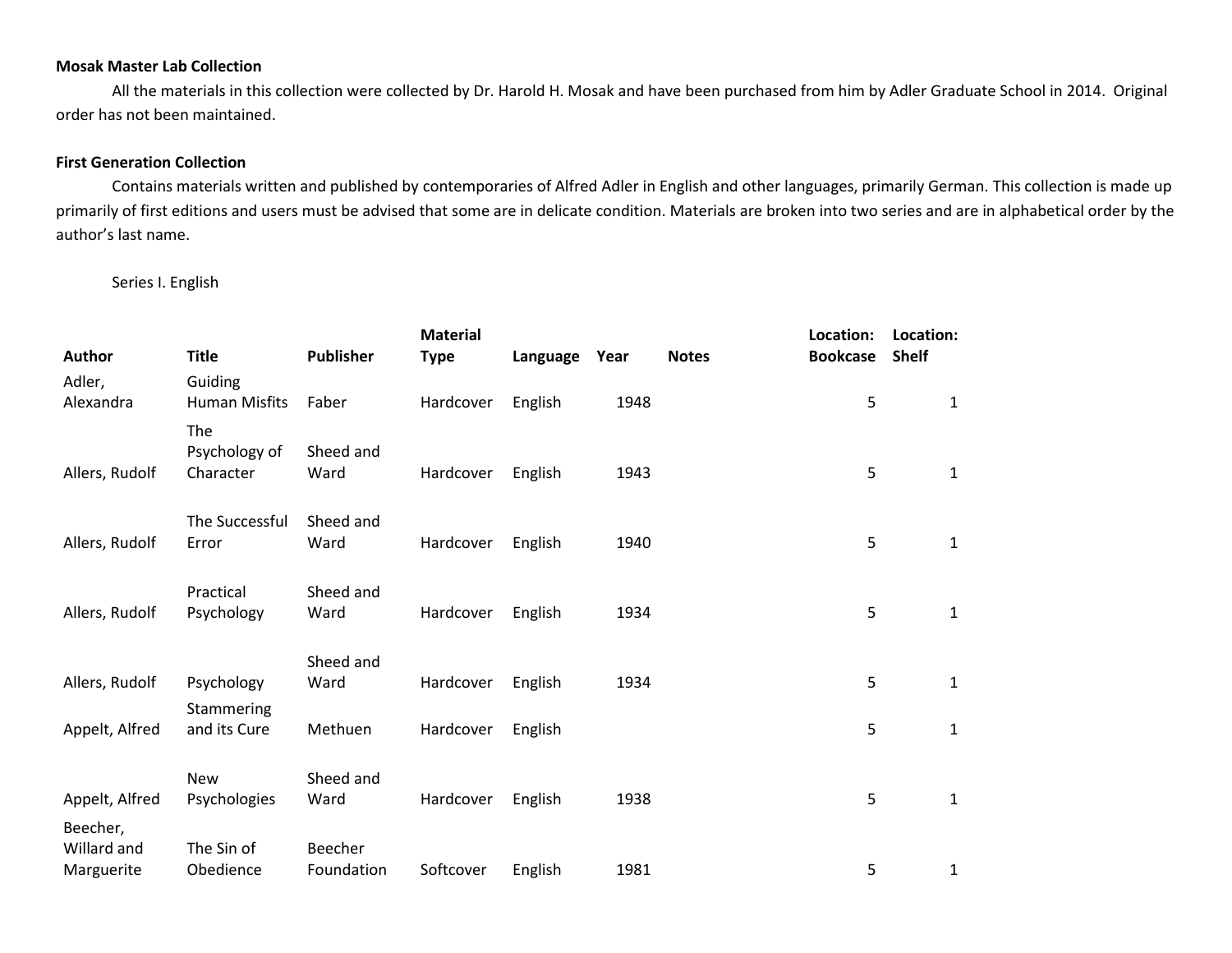## **Mosak Master Lab Collection**

All the materials in this collection were collected by Dr. Harold H. Mosak and have been purchased from him by Adler Graduate School in 2014. Original order has not been maintained.

## **First Generation Collection**

Contains materials written and published by contemporaries of Alfred Adler in English and other languages, primarily German. This collection is made up primarily of first editions and users must be advised that some are in delicate condition. Materials are broken into two series and are in alphabetical order by the author's last name.

## Series I. English

| Author         | <b>Title</b>         | <b>Publisher</b> | <b>Material</b><br><b>Type</b> | Language | Year | <b>Notes</b> | Location:<br><b>Bookcase</b> | Location:<br><b>Shelf</b> |  |
|----------------|----------------------|------------------|--------------------------------|----------|------|--------------|------------------------------|---------------------------|--|
| Adler,         | Guiding              |                  |                                |          |      |              |                              |                           |  |
| Alexandra      | <b>Human Misfits</b> | Faber            | Hardcover                      | English  | 1948 |              | 5                            | $\mathbf{1}$              |  |
|                | The                  |                  |                                |          |      |              |                              |                           |  |
|                | Psychology of        | Sheed and        |                                |          |      |              |                              |                           |  |
| Allers, Rudolf | Character            | Ward             | Hardcover                      | English  | 1943 |              | 5                            | $\mathbf{1}$              |  |
|                |                      |                  |                                |          |      |              |                              |                           |  |
|                | The Successful       | Sheed and        |                                |          |      |              |                              |                           |  |
| Allers, Rudolf | Error                | Ward             | Hardcover                      | English  | 1940 |              | 5                            | $\mathbf{1}$              |  |
|                |                      |                  |                                |          |      |              |                              |                           |  |
|                | Practical            | Sheed and        |                                |          |      |              |                              |                           |  |
| Allers, Rudolf | Psychology           | Ward             | Hardcover                      | English  | 1934 |              | 5                            | $\mathbf{1}$              |  |
|                |                      |                  |                                |          |      |              |                              |                           |  |
|                |                      | Sheed and        |                                |          |      |              |                              |                           |  |
| Allers, Rudolf | Psychology           | Ward             | Hardcover                      | English  | 1934 |              | 5                            | $\mathbf{1}$              |  |
|                | Stammering           |                  |                                |          |      |              |                              |                           |  |
| Appelt, Alfred | and its Cure         | Methuen          | Hardcover                      | English  |      |              | 5                            | $\mathbf{1}$              |  |
|                |                      |                  |                                |          |      |              |                              |                           |  |
|                |                      |                  |                                |          |      |              |                              |                           |  |
|                | <b>New</b>           | Sheed and        |                                |          |      |              |                              |                           |  |
| Appelt, Alfred | Psychologies         | Ward             | Hardcover                      | English  | 1938 |              | 5                            | $\mathbf{1}$              |  |
| Beecher,       |                      |                  |                                |          |      |              |                              |                           |  |
| Willard and    | The Sin of           | Beecher          |                                |          |      |              |                              |                           |  |
| Marguerite     | Obedience            | Foundation       | Softcover                      | English  | 1981 |              | 5                            | 1                         |  |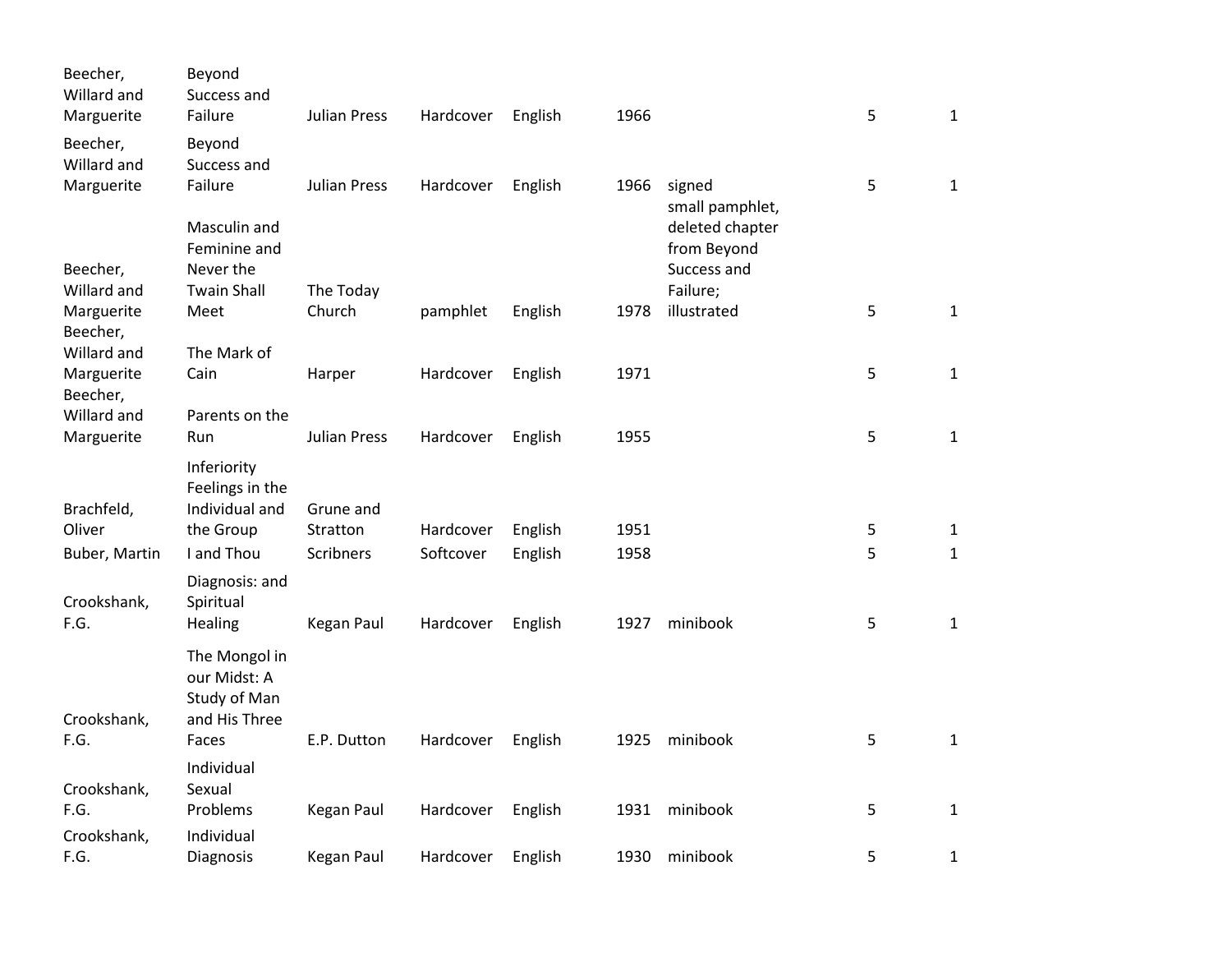| Beecher,<br>Willard and<br>Marguerite | Beyond<br>Success and<br>Failure | Julian Press        | Hardcover | English | 1966 |                                                   | 5 | $\mathbf{1}$ |
|---------------------------------------|----------------------------------|---------------------|-----------|---------|------|---------------------------------------------------|---|--------------|
| Beecher,<br>Willard and<br>Marguerite | Beyond<br>Success and<br>Failure | Julian Press        | Hardcover |         | 1966 | signed                                            | 5 | $\mathbf{1}$ |
|                                       | Masculin and<br>Feminine and     |                     |           | English |      | small pamphlet,<br>deleted chapter<br>from Beyond |   |              |
| Beecher,                              | Never the                        |                     |           |         |      | Success and                                       |   |              |
| Willard and                           | <b>Twain Shall</b>               | The Today           |           |         |      | Failure;                                          |   |              |
| Marguerite<br>Beecher,                | Meet                             | Church              | pamphlet  | English | 1978 | illustrated                                       | 5 | $\mathbf{1}$ |
| Willard and                           | The Mark of                      |                     |           |         |      |                                                   |   |              |
| Marguerite<br>Beecher,                | Cain                             | Harper              | Hardcover | English | 1971 |                                                   | 5 | $\mathbf{1}$ |
| Willard and                           | Parents on the                   |                     |           |         |      |                                                   |   |              |
| Marguerite                            | Run                              | <b>Julian Press</b> | Hardcover | English | 1955 |                                                   | 5 | $\mathbf{1}$ |
|                                       | Inferiority<br>Feelings in the   |                     |           |         |      |                                                   |   |              |
| Brachfeld,                            | Individual and                   | Grune and           |           |         |      |                                                   |   |              |
| Oliver                                | the Group                        | Stratton            | Hardcover | English | 1951 |                                                   | 5 | 1            |
| Buber, Martin                         | I and Thou                       | Scribners           | Softcover | English | 1958 |                                                   | 5 | $\mathbf{1}$ |
| Crookshank,                           | Diagnosis: and<br>Spiritual      |                     |           |         |      |                                                   |   |              |
| F.G.                                  | Healing                          | Kegan Paul          | Hardcover | English | 1927 | minibook                                          | 5 | $\mathbf{1}$ |
|                                       | The Mongol in<br>our Midst: A    |                     |           |         |      |                                                   |   |              |
|                                       | Study of Man                     |                     |           |         |      |                                                   |   |              |
| Crookshank,<br>F.G.                   | and His Three<br>Faces           | E.P. Dutton         | Hardcover |         | 1925 | minibook                                          | 5 | $\mathbf{1}$ |
|                                       |                                  |                     |           | English |      |                                                   |   |              |
| Crookshank,                           | Individual<br>Sexual             |                     |           |         |      |                                                   |   |              |
| F.G.                                  | Problems                         | Kegan Paul          | Hardcover | English | 1931 | minibook                                          | 5 | $\mathbf{1}$ |
| Crookshank,                           | Individual                       |                     |           |         |      |                                                   |   |              |
| F.G.                                  | Diagnosis                        | Kegan Paul          | Hardcover | English | 1930 | minibook                                          | 5 | 1            |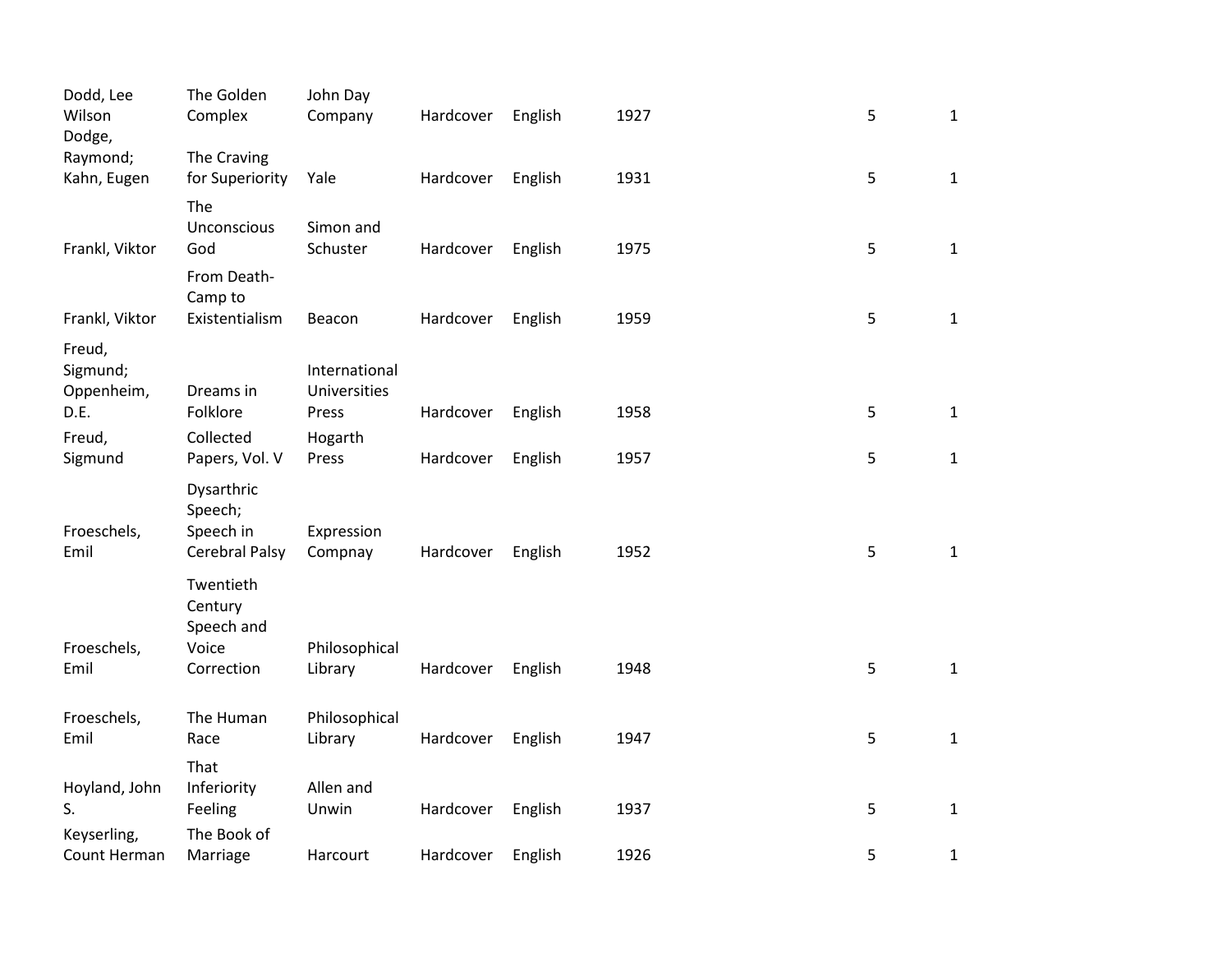| Dodd, Lee<br>Wilson<br>Dodge,    | The Golden<br>Complex                                | John Day<br>Company           | Hardcover | English | 1927 | 5 | $\mathbf{1}$ |
|----------------------------------|------------------------------------------------------|-------------------------------|-----------|---------|------|---|--------------|
| Raymond;<br>Kahn, Eugen          | The Craving<br>for Superiority                       | Yale                          | Hardcover | English | 1931 | 5 | $\mathbf{1}$ |
| Frankl, Viktor                   | The<br>Unconscious<br>God                            | Simon and<br>Schuster         | Hardcover | English | 1975 | 5 | $\mathbf{1}$ |
| Frankl, Viktor                   | From Death-<br>Camp to<br>Existentialism             | Beacon                        | Hardcover | English | 1959 | 5 | $\mathbf{1}$ |
| Freud,<br>Sigmund;<br>Oppenheim, | Dreams in                                            | International<br>Universities |           |         |      |   |              |
| D.E.                             | Folklore                                             | Press                         | Hardcover | English | 1958 | 5 | $\mathbf{1}$ |
| Freud,<br>Sigmund                | Collected<br>Papers, Vol. V                          | Hogarth<br>Press              | Hardcover | English | 1957 | 5 | $\mathbf{1}$ |
| Froeschels,<br>Emil              | Dysarthric<br>Speech;<br>Speech in<br>Cerebral Palsy | Expression<br>Compnay         | Hardcover | English | 1952 | 5 | $\mathbf{1}$ |
|                                  | Twentieth<br>Century<br>Speech and                   |                               |           |         |      |   |              |
| Froeschels,<br>Emil              | Voice<br>Correction                                  | Philosophical<br>Library      | Hardcover | English | 1948 | 5 | $\mathbf{1}$ |
| Froeschels,<br>Emil              | The Human<br>Race                                    | Philosophical<br>Library      | Hardcover | English | 1947 | 5 | $\mathbf{1}$ |
| Hoyland, John<br>S.              | That<br>Inferiority<br>Feeling                       | Allen and<br>Unwin            | Hardcover | English | 1937 | 5 | $\mathbf 1$  |
| Keyserling,<br>Count Herman      | The Book of<br>Marriage                              | Harcourt                      | Hardcover | English | 1926 | 5 | $\mathbf{1}$ |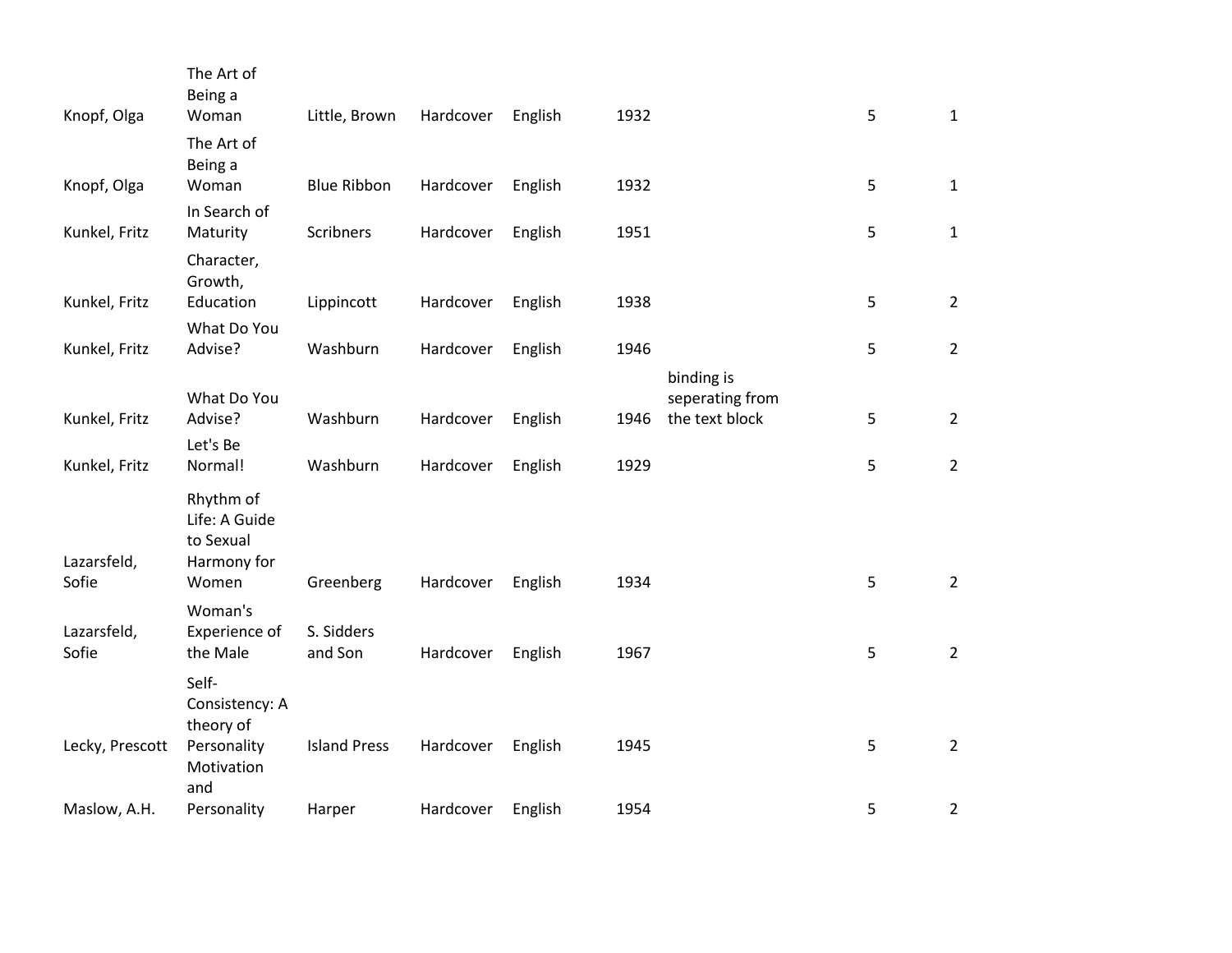| Knopf, Olga          | The Art of<br>Being a<br>Woman          | Little, Brown       | Hardcover | English | 1932 |                               | 5 | $\mathbf{1}$   |
|----------------------|-----------------------------------------|---------------------|-----------|---------|------|-------------------------------|---|----------------|
| Knopf, Olga          | The Art of<br>Being a<br>Woman          | <b>Blue Ribbon</b>  | Hardcover | English | 1932 |                               | 5 | $\mathbf{1}$   |
|                      | In Search of                            |                     |           |         |      |                               |   |                |
| Kunkel, Fritz        | Maturity                                | Scribners           | Hardcover | English | 1951 |                               | 5 | $\mathbf{1}$   |
|                      | Character,<br>Growth,                   |                     |           |         |      |                               |   |                |
| Kunkel, Fritz        | Education                               | Lippincott          | Hardcover | English | 1938 |                               | 5 | $2^{\circ}$    |
|                      | What Do You<br>Advise?                  |                     |           |         |      |                               |   |                |
| Kunkel, Fritz        |                                         | Washburn            | Hardcover | English | 1946 |                               | 5 | $\overline{2}$ |
|                      | What Do You                             |                     |           |         |      | binding is<br>seperating from |   |                |
| Kunkel, Fritz        | Advise?                                 | Washburn            | Hardcover | English | 1946 | the text block                | 5 | $2^{\circ}$    |
|                      | Let's Be                                |                     |           |         |      |                               |   |                |
| Kunkel, Fritz        | Normal!                                 | Washburn            | Hardcover | English | 1929 |                               | 5 | $\overline{2}$ |
|                      | Rhythm of<br>Life: A Guide<br>to Sexual |                     |           |         |      |                               |   |                |
| Lazarsfeld,<br>Sofie | Harmony for<br>Women                    |                     | Hardcover |         | 1934 |                               | 5 | $\overline{2}$ |
|                      | Woman's                                 | Greenberg           |           | English |      |                               |   |                |
| Lazarsfeld,          | Experience of                           | S. Sidders          |           |         |      |                               |   |                |
| Sofie                | the Male                                | and Son             | Hardcover | English | 1967 |                               | 5 | $\overline{2}$ |
|                      | Self-<br>Consistency: A<br>theory of    |                     |           |         |      |                               |   |                |
| Lecky, Prescott      | Personality<br>Motivation<br>and        | <b>Island Press</b> | Hardcover | English | 1945 |                               | 5 | $2^{\circ}$    |
| Maslow, A.H.         | Personality                             | Harper              | Hardcover | English | 1954 |                               | 5 | $\overline{2}$ |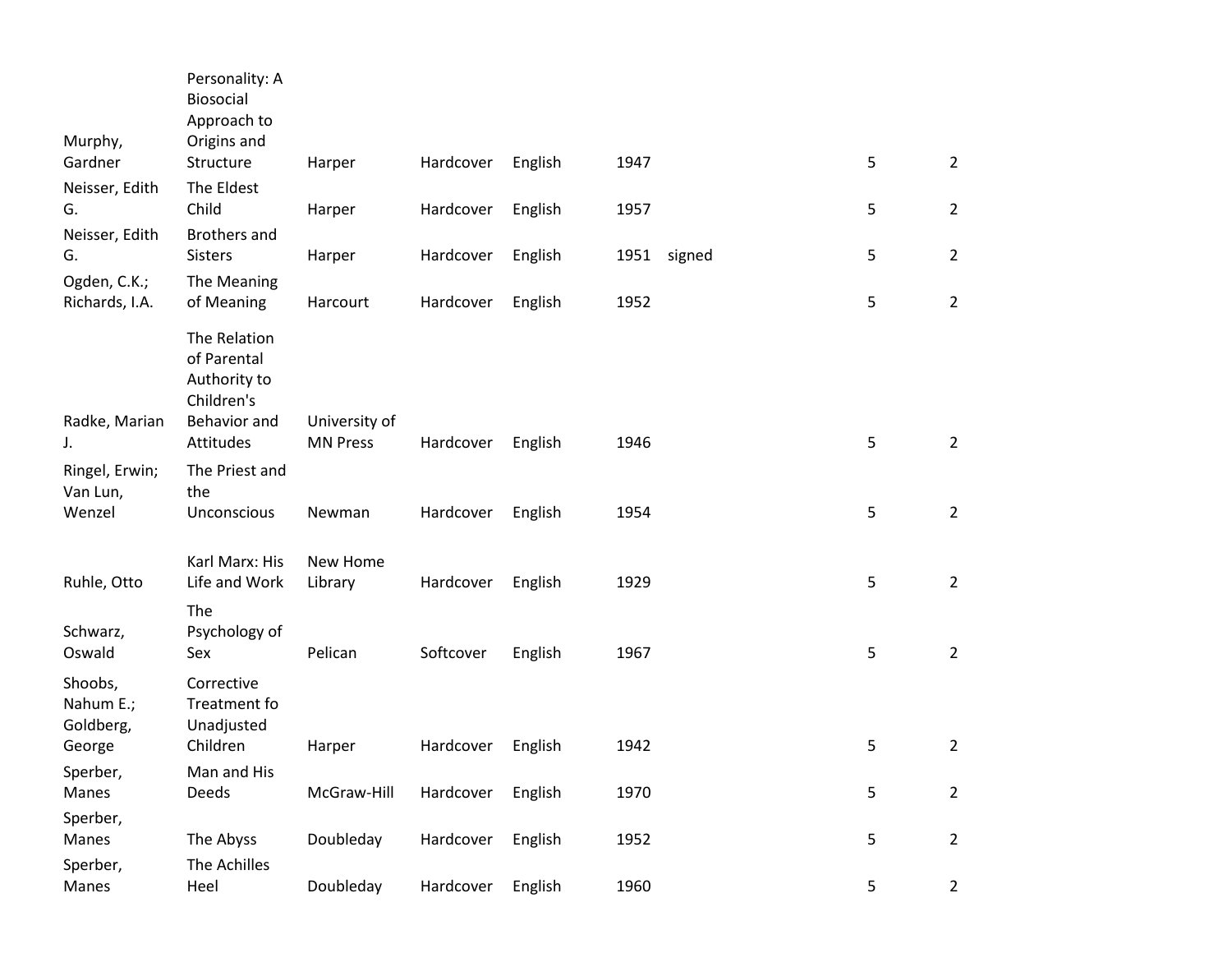| Murphy,                              | Personality: A<br>Biosocial<br>Approach to<br>Origins and |                                  |           |         |      |        |   |                |
|--------------------------------------|-----------------------------------------------------------|----------------------------------|-----------|---------|------|--------|---|----------------|
| Gardner                              | Structure                                                 | Harper                           | Hardcover | English | 1947 |        | 5 | $\overline{2}$ |
| Neisser, Edith<br>G.                 | The Eldest<br>Child                                       | Harper                           | Hardcover | English | 1957 |        | 5 | $\overline{2}$ |
| Neisser, Edith<br>G.                 | <b>Brothers and</b><br><b>Sisters</b>                     | Harper                           | Hardcover | English | 1951 | signed | 5 | $\overline{2}$ |
| Ogden, C.K.;<br>Richards, I.A.       | The Meaning<br>of Meaning                                 | Harcourt                         | Hardcover | English | 1952 |        | 5 | $\overline{2}$ |
|                                      | The Relation<br>of Parental<br>Authority to<br>Children's |                                  |           |         |      |        |   |                |
| Radke, Marian<br>J.                  | Behavior and<br>Attitudes                                 | University of<br><b>MN Press</b> | Hardcover | English | 1946 |        | 5 | $\overline{2}$ |
| Ringel, Erwin;<br>Van Lun,<br>Wenzel | The Priest and<br>the<br>Unconscious                      | Newman                           | Hardcover | English | 1954 |        | 5 | $\overline{2}$ |
| Ruhle, Otto                          | Karl Marx: His<br>Life and Work                           | New Home<br>Library              | Hardcover | English | 1929 |        | 5 | $\overline{2}$ |
| Schwarz,<br>Oswald                   | The<br>Psychology of<br>Sex                               | Pelican                          | Softcover | English | 1967 |        | 5 | $\overline{2}$ |
| Shoobs,<br>Nahum E.;<br>Goldberg,    | Corrective<br>Treatment fo<br>Unadjusted                  |                                  |           |         |      |        |   |                |
| George                               | Children                                                  | Harper                           | Hardcover | English | 1942 |        | 5 | $\overline{2}$ |
| Sperber,<br>Manes                    | Man and His<br>Deeds                                      | McGraw-Hill                      | Hardcover | English | 1970 |        | 5 | $\overline{2}$ |
| Sperber,<br>Manes                    | The Abyss                                                 | Doubleday                        | Hardcover | English | 1952 |        | 5 | $\overline{2}$ |
| Sperber,<br>Manes                    | The Achilles<br>Heel                                      | Doubleday                        | Hardcover | English | 1960 |        | 5 | $\overline{2}$ |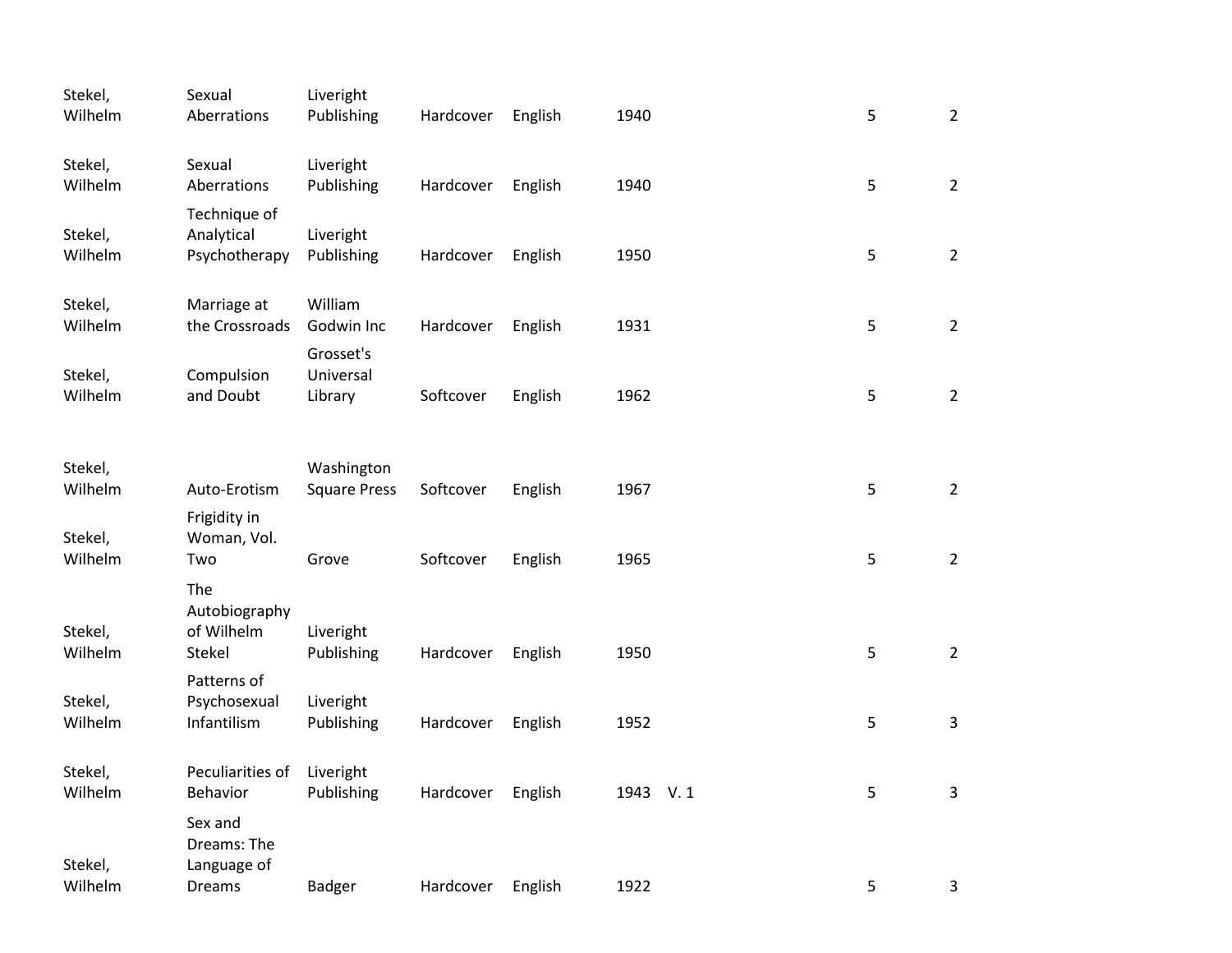| Stekel,<br>Wilhelm | Sexual<br>Aberrations                                  | Liveright<br>Publishing           | Hardcover | English | 1940     | 5           | $2\overline{ }$ |
|--------------------|--------------------------------------------------------|-----------------------------------|-----------|---------|----------|-------------|-----------------|
| Stekel,<br>Wilhelm | Sexual<br>Aberrations                                  | Liveright<br>Publishing           | Hardcover | English | 1940     | 5           | $\overline{2}$  |
| Stekel,<br>Wilhelm | Technique of<br>Analytical<br>Psychotherapy            | Liveright<br>Publishing           | Hardcover | English | 1950     | 5           | $\overline{2}$  |
| Stekel,<br>Wilhelm | Marriage at<br>the Crossroads                          | William<br>Godwin Inc             | Hardcover | English | 1931     | 5           | $\overline{2}$  |
| Stekel,<br>Wilhelm | Compulsion<br>and Doubt                                | Grosset's<br>Universal<br>Library | Softcover | English | 1962     | $\sqrt{5}$  | $\overline{2}$  |
| Stekel,<br>Wilhelm | Auto-Erotism                                           | Washington<br><b>Square Press</b> | Softcover | English | 1967     | 5           | $\overline{2}$  |
| Stekel,<br>Wilhelm | Frigidity in<br>Woman, Vol.<br>Two                     | Grove                             | Softcover | English | 1965     | $\mathsf S$ | $\overline{2}$  |
| Stekel,<br>Wilhelm | The<br>Autobiography<br>of Wilhelm<br>Stekel           | Liveright<br>Publishing           | Hardcover | English | 1950     | 5           | $\overline{2}$  |
| Stekel,<br>Wilhelm | Patterns of<br>Psychosexual<br>Infantilism             | Liveright<br>Publishing           | Hardcover | English | 1952     | 5           | $\overline{3}$  |
| Stekel,<br>Wilhelm | Peculiarities of<br>Behavior                           | Liveright<br>Publishing           | Hardcover | English | 1943 V.1 | 5           | $\mathbf{3}$    |
| Stekel,<br>Wilhelm | Sex and<br>Dreams: The<br>Language of<br><b>Dreams</b> | Badger                            | Hardcover | English | 1922     | 5           | 3               |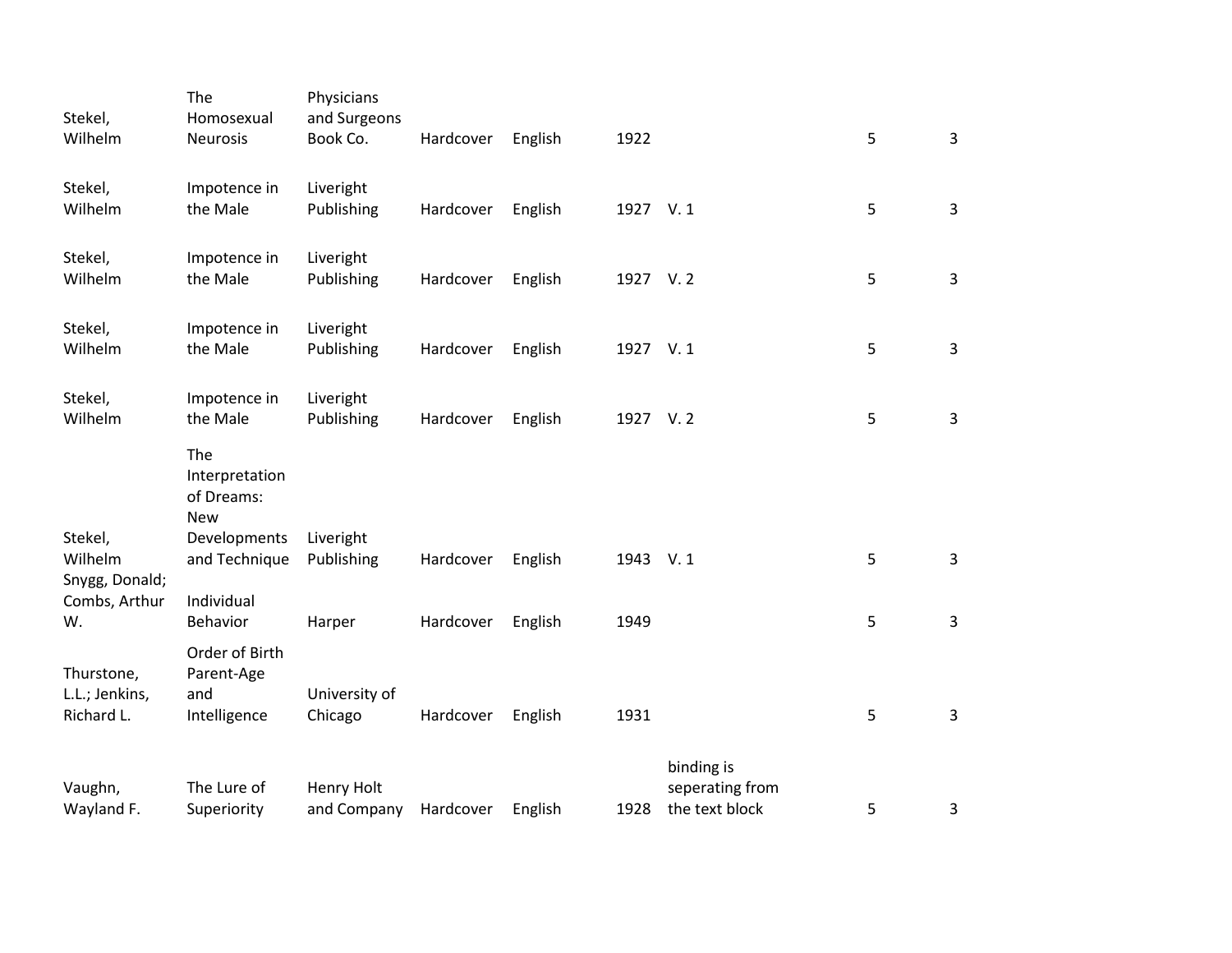| Stekel,<br>Wilhelm                         | The<br>Homosexual<br>Neurosis                       | Physicians<br>and Surgeons<br>Book Co. | Hardcover | English | 1922     |                                                 | 5 | $\mathbf{3}$   |
|--------------------------------------------|-----------------------------------------------------|----------------------------------------|-----------|---------|----------|-------------------------------------------------|---|----------------|
| Stekel,<br>Wilhelm                         | Impotence in<br>the Male                            | Liveright<br>Publishing                | Hardcover | English | 1927 V.1 |                                                 | 5 | 3              |
| Stekel,<br>Wilhelm                         | Impotence in<br>the Male                            | Liveright<br>Publishing                | Hardcover | English | 1927 V.2 |                                                 | 5 | 3              |
| Stekel,<br>Wilhelm                         | Impotence in<br>the Male                            | Liveright<br>Publishing                | Hardcover | English | 1927 V.1 |                                                 | 5 | 3              |
| Stekel,<br>Wilhelm                         | Impotence in<br>the Male                            | Liveright<br>Publishing                | Hardcover | English | 1927 V.2 |                                                 | 5 | $\overline{3}$ |
|                                            | The<br>Interpretation<br>of Dreams:<br><b>New</b>   |                                        |           |         |          |                                                 |   |                |
| Stekel,<br>Wilhelm<br>Snygg, Donald;       | Developments<br>and Technique                       | Liveright<br>Publishing                | Hardcover | English | 1943 V.1 |                                                 | 5 | 3              |
| Combs, Arthur<br>W.                        | Individual<br>Behavior                              | Harper                                 | Hardcover | English | 1949     |                                                 | 5 | 3              |
| Thurstone,<br>L.L.; Jenkins,<br>Richard L. | Order of Birth<br>Parent-Age<br>and<br>Intelligence | University of<br>Chicago               | Hardcover | English | 1931     |                                                 | 5 | $\mathbf{3}$   |
| Vaughn,<br>Wayland F.                      | The Lure of<br>Superiority                          | Henry Holt<br>and Company              | Hardcover | English | 1928     | binding is<br>seperating from<br>the text block | 5 | 3              |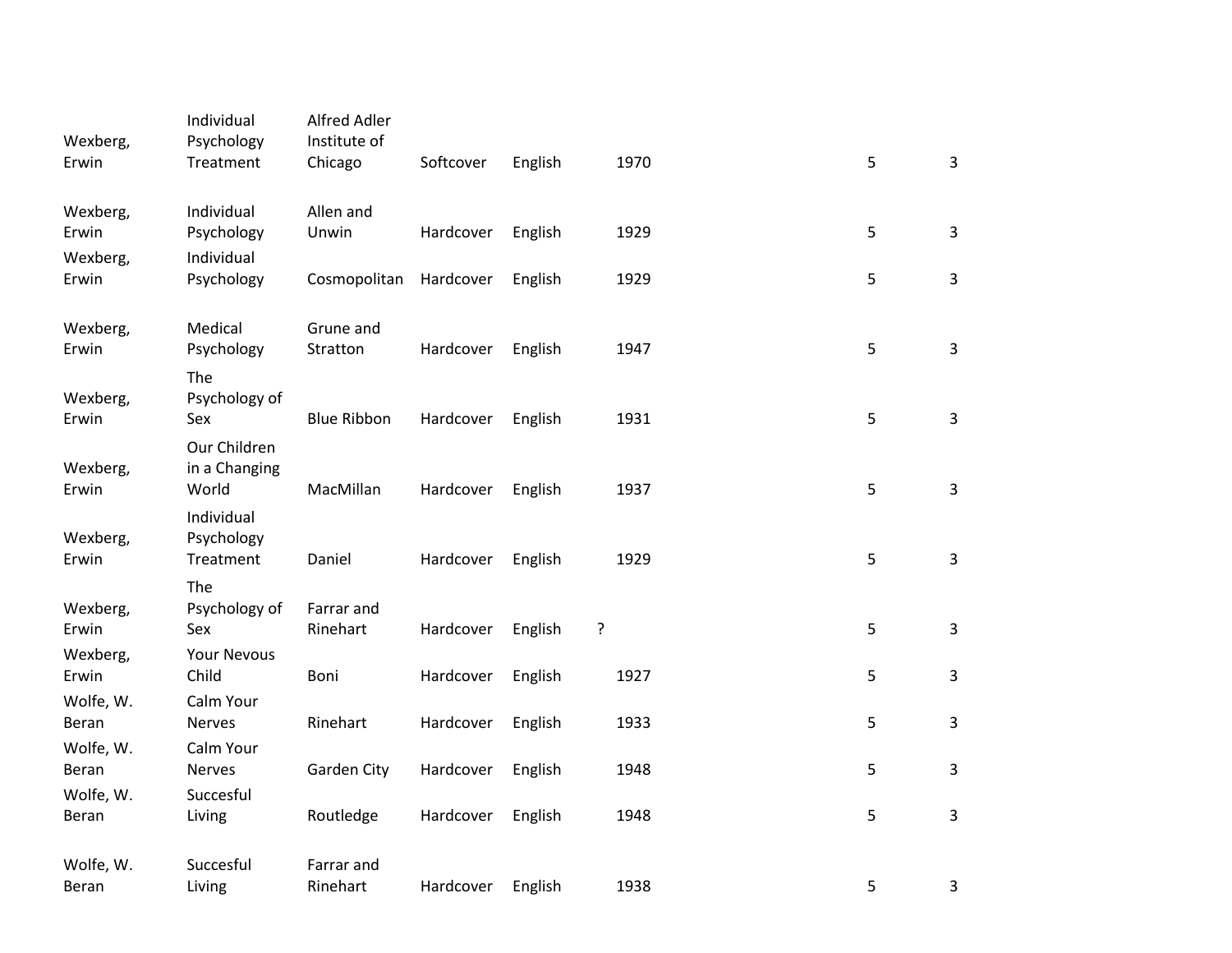| Wexberg,           | Individual<br>Psychology               | Alfred Adler<br>Institute of |           |         |      |   |                |
|--------------------|----------------------------------------|------------------------------|-----------|---------|------|---|----------------|
| Erwin              | Treatment                              | Chicago                      | Softcover | English | 1970 | 5 | $\overline{3}$ |
| Wexberg,<br>Erwin  | Individual<br>Psychology               | Allen and<br>Unwin           | Hardcover | English | 1929 | 5 | $\mathbf{3}$   |
| Wexberg,           | Individual                             |                              |           |         |      |   |                |
| Erwin              | Psychology                             | Cosmopolitan                 | Hardcover | English | 1929 | 5 | 3              |
| Wexberg,<br>Erwin  | Medical<br>Psychology                  | Grune and<br>Stratton        | Hardcover | English | 1947 | 5 | $\overline{3}$ |
|                    | The<br>Psychology of                   |                              |           |         |      |   |                |
| Wexberg,<br>Erwin  | Sex                                    | <b>Blue Ribbon</b>           | Hardcover | English | 1931 | 5 | $\overline{3}$ |
| Wexberg,<br>Erwin  | Our Children<br>in a Changing<br>World | MacMillan                    | Hardcover | English | 1937 | 5 | $\overline{3}$ |
| Wexberg,<br>Erwin  | Individual<br>Psychology<br>Treatment  | Daniel                       | Hardcover | English | 1929 | 5 | $\overline{3}$ |
|                    | The                                    |                              |           |         |      |   |                |
| Wexberg,<br>Erwin  | Psychology of<br>Sex                   | Farrar and<br>Rinehart       | Hardcover | English | ?    | 5 | $\overline{3}$ |
| Wexberg,<br>Erwin  | <b>Your Nevous</b><br>Child            | Boni                         | Hardcover | English | 1927 | 5 | 3              |
| Wolfe, W.<br>Beran | Calm Your<br><b>Nerves</b>             | Rinehart                     | Hardcover | English | 1933 | 5 | 3              |
| Wolfe, W.<br>Beran | Calm Your<br><b>Nerves</b>             | Garden City                  | Hardcover | English | 1948 | 5 | $\overline{3}$ |
| Wolfe, W.          | Succesful                              |                              |           |         |      |   | $\overline{3}$ |
| Beran              | Living                                 | Routledge                    | Hardcover | English | 1948 | 5 |                |
| Wolfe, W.<br>Beran | Succesful<br>Living                    | Farrar and<br>Rinehart       | Hardcover | English | 1938 | 5 | 3              |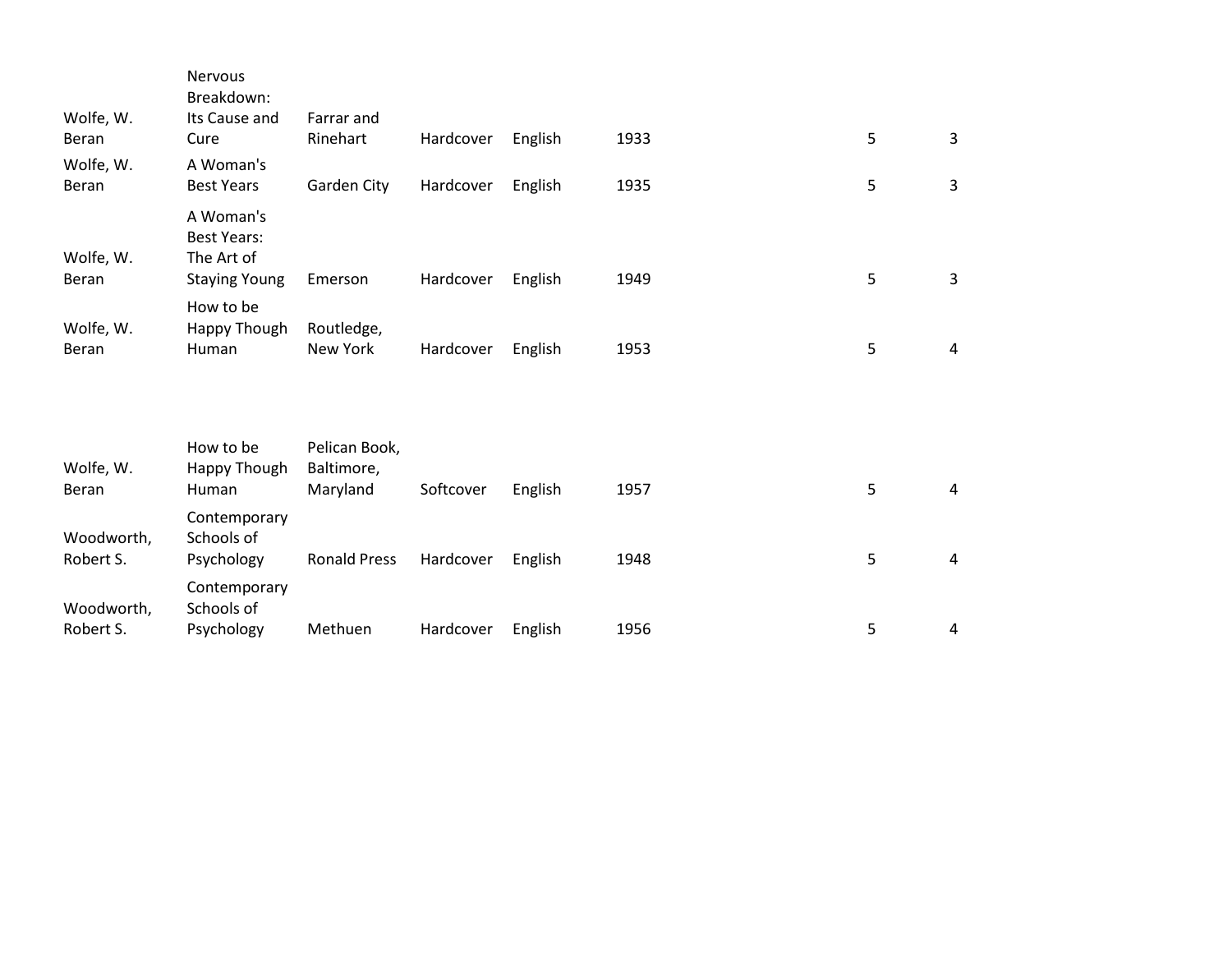| Wolfe, W.          | <b>Nervous</b><br>Breakdown:<br>Its Cause and | Farrar and                  |           |         |      |   |                |
|--------------------|-----------------------------------------------|-----------------------------|-----------|---------|------|---|----------------|
| Beran              | Cure                                          | Rinehart                    | Hardcover | English | 1933 | 5 | 3              |
| Wolfe, W.<br>Beran | A Woman's<br><b>Best Years</b>                | Garden City                 | Hardcover | English | 1935 | 5 | 3              |
| Wolfe, W.          | A Woman's<br><b>Best Years:</b><br>The Art of |                             |           |         |      |   |                |
| Beran              | <b>Staying Young</b>                          | Emerson                     | Hardcover | English | 1949 | 5 | 3              |
| Wolfe, W.<br>Beran | How to be<br>Happy Though<br>Human            | Routledge,<br>New York      | Hardcover | English | 1953 | 5 | $\overline{4}$ |
| Wolfe, W.          | How to be<br>Happy Though                     | Pelican Book,<br>Baltimore, |           |         |      |   |                |
| Beran              | Human                                         | Maryland                    | Softcover | English | 1957 | 5 | 4              |
| Woodworth,         | Contemporary<br>Schools of                    |                             |           |         |      |   |                |
| Robert S.          | Psychology                                    | <b>Ronald Press</b>         | Hardcover | English | 1948 | 5 | 4              |

5

4

Psychology Methuen Hardcover English 1956

Woodworth, Robert S.

Contemporary Schools of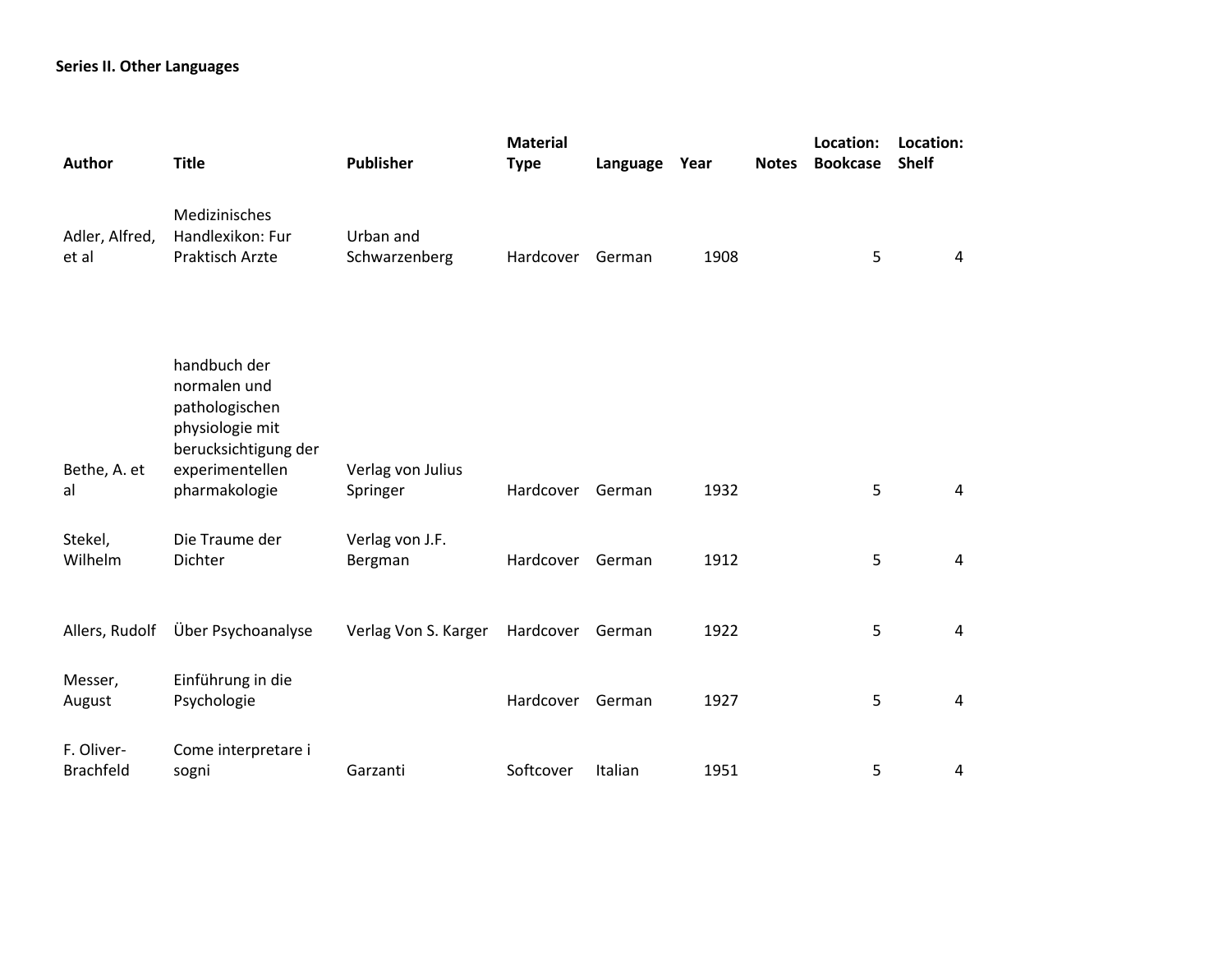## **Series II. Other Languages**

| Author                  | <b>Title</b>                                                                              | <b>Publisher</b>              | <b>Material</b><br><b>Type</b> | Language | Year | <b>Notes</b> | Location:<br><b>Bookcase</b> | Location:<br><b>Shelf</b> |  |
|-------------------------|-------------------------------------------------------------------------------------------|-------------------------------|--------------------------------|----------|------|--------------|------------------------------|---------------------------|--|
| Adler, Alfred,<br>et al | Medizinisches<br>Handlexikon: Fur<br>Praktisch Arzte                                      | Urban and<br>Schwarzenberg    | Hardcover                      | German   | 1908 |              | 5                            | $\overline{4}$            |  |
|                         | handbuch der<br>normalen und<br>pathologischen<br>physiologie mit<br>berucksichtigung der |                               |                                |          |      |              |                              |                           |  |
| Bethe, A. et<br>al      | experimentellen<br>pharmakologie                                                          | Verlag von Julius<br>Springer | Hardcover                      | German   | 1932 |              | 5                            | 4                         |  |
| Stekel,<br>Wilhelm      | Die Traume der<br>Dichter                                                                 | Verlag von J.F.<br>Bergman    | Hardcover                      | German   | 1912 |              | 5                            | 4                         |  |
| Allers, Rudolf          | Über Psychoanalyse                                                                        | Verlag Von S. Karger          | Hardcover                      | German   | 1922 |              | 5                            | 4                         |  |
| Messer,<br>August       | Einführung in die<br>Psychologie                                                          |                               | Hardcover                      | German   | 1927 |              | 5                            | $\overline{4}$            |  |
| F. Oliver-<br>Brachfeld | Come interpretare i<br>sogni                                                              | Garzanti                      | Softcover                      | Italian  | 1951 |              | 5                            | 4                         |  |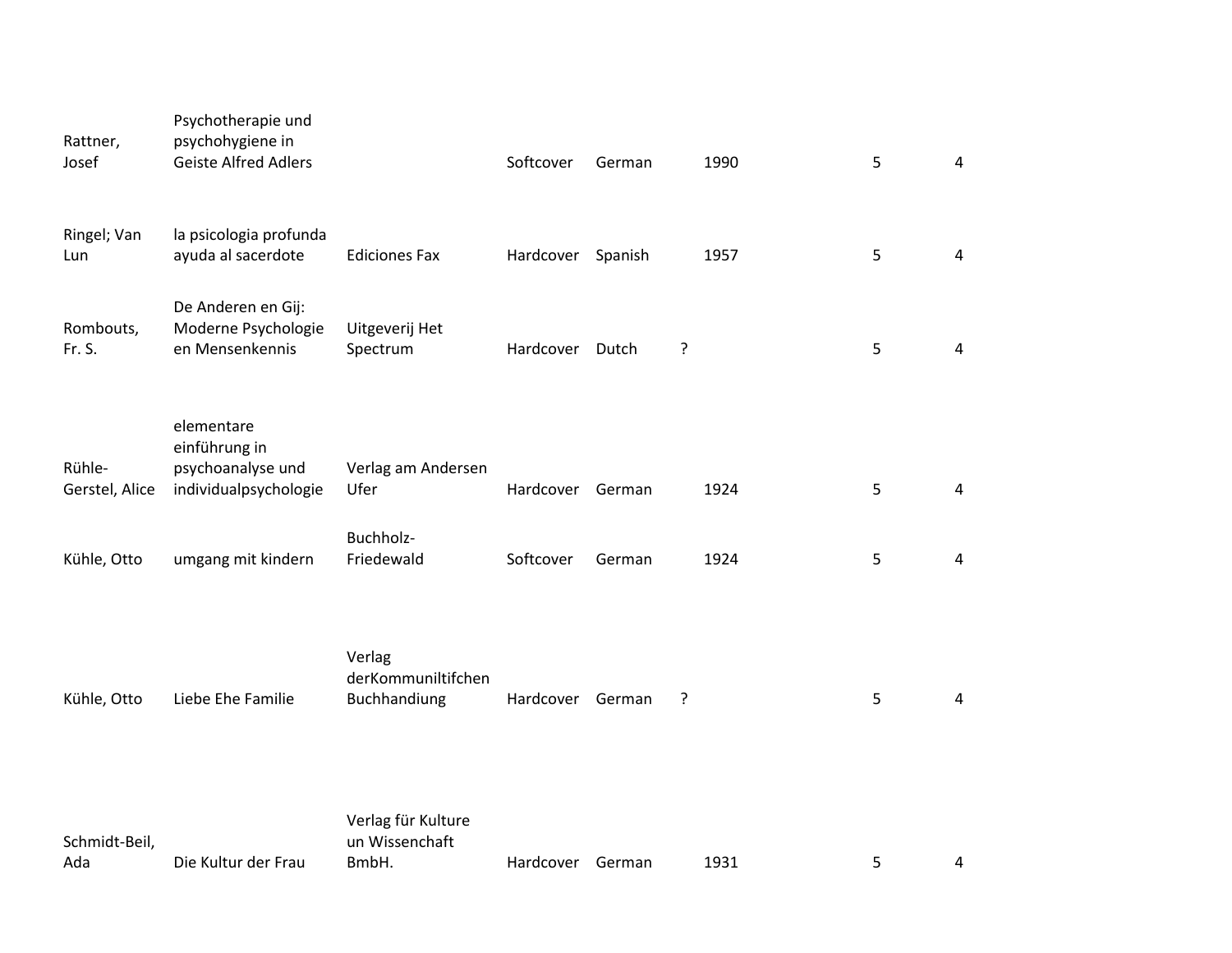| Rattner,<br>Josef        | Psychotherapie und<br>psychohygiene in<br><b>Geiste Alfred Adlers</b>     |                                              | Softcover         | German |   | 1990 | 5 | 4              |
|--------------------------|---------------------------------------------------------------------------|----------------------------------------------|-------------------|--------|---|------|---|----------------|
| Ringel; Van<br>Lun       | la psicologia profunda<br>ayuda al sacerdote                              | <b>Ediciones Fax</b>                         | Hardcover Spanish |        |   | 1957 | 5 | $\overline{4}$ |
| Rombouts,<br>Fr. S.      | De Anderen en Gij:<br>Moderne Psychologie<br>en Mensenkennis              | Uitgeverij Het<br>Spectrum                   | Hardcover         | Dutch  | ? |      | 5 | 4              |
| Rühle-<br>Gerstel, Alice | elementare<br>einführung in<br>psychoanalyse und<br>individualpsychologie | Verlag am Andersen<br>Ufer                   | Hardcover         | German |   | 1924 | 5 | $\overline{4}$ |
| Kühle, Otto              | umgang mit kindern                                                        | Buchholz-<br>Friedewald                      | Softcover         | German |   | 1924 | 5 | $\overline{4}$ |
| Kühle, Otto              | Liebe Ehe Familie                                                         | Verlag<br>derKommuniltifchen<br>Buchhandiung | Hardcover German  |        | ? |      | 5 | 4              |
| Schmidt-Beil,            |                                                                           | Verlag für Kulture<br>un Wissenchaft         |                   |        |   |      |   |                |

BmbH. Hardcover German 1931 5 4

Ada Die Kultur der Frau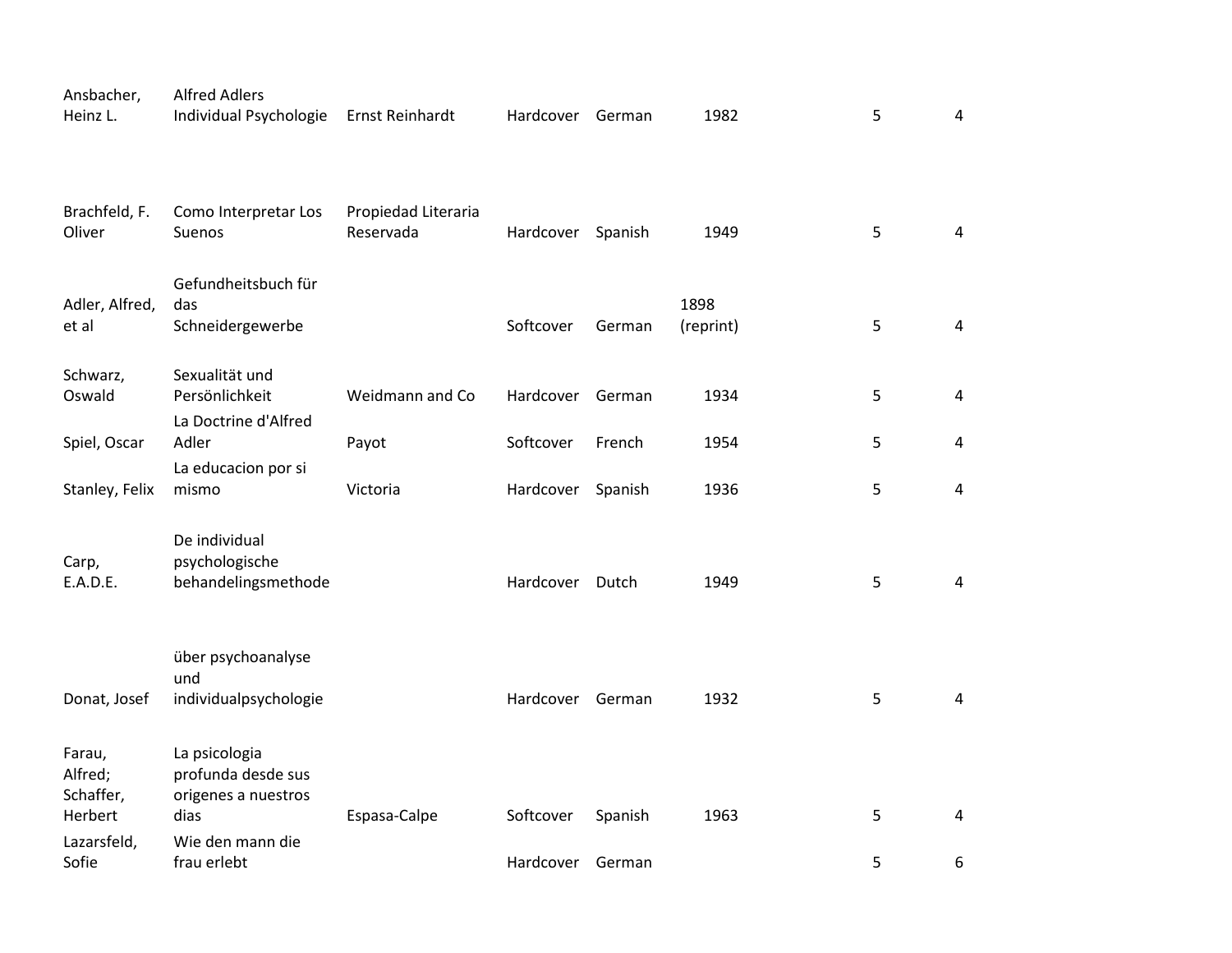| Ansbacher,<br>Heinz L.                    | <b>Alfred Adlers</b><br>Individual Psychologie                     | Ernst Reinhardt                  | Hardcover German  |         | 1982              | 5 | $\overline{4}$ |
|-------------------------------------------|--------------------------------------------------------------------|----------------------------------|-------------------|---------|-------------------|---|----------------|
| Brachfeld, F.<br>Oliver                   | Como Interpretar Los<br>Suenos                                     | Propiedad Literaria<br>Reservada | Hardcover Spanish |         | 1949              | 5 | 4              |
| Adler, Alfred,<br>et al                   | Gefundheitsbuch für<br>das<br>Schneidergewerbe                     |                                  | Softcover         | German  | 1898<br>(reprint) | 5 | $\overline{4}$ |
| Schwarz,<br>Oswald                        | Sexualität und<br>Persönlichkeit<br>La Doctrine d'Alfred           | Weidmann and Co                  | Hardcover         | German  | 1934              | 5 | $\overline{4}$ |
| Spiel, Oscar                              | Adler                                                              | Payot                            | Softcover         | French  | 1954              | 5 | 4              |
| Stanley, Felix                            | La educacion por si<br>mismo                                       | Victoria                         | Hardcover         | Spanish | 1936              | 5 | 4              |
| Carp,<br>E.A.D.E.                         | De individual<br>psychologische<br>behandelingsmethode             |                                  | Hardcover         | Dutch   | 1949              | 5 | 4              |
| Donat, Josef                              | über psychoanalyse<br>und<br>individualpsychologie                 |                                  | Hardcover         | German  | 1932              | 5 | 4              |
| Farau,<br>Alfred;<br>Schaffer,<br>Herbert | La psicologia<br>profunda desde sus<br>origenes a nuestros<br>dias | Espasa-Calpe                     | Softcover         | Spanish | 1963              | 5 | 4              |
| Lazarsfeld,<br>Sofie                      | Wie den mann die<br>frau erlebt                                    |                                  | Hardcover         | German  |                   | 5 | 6              |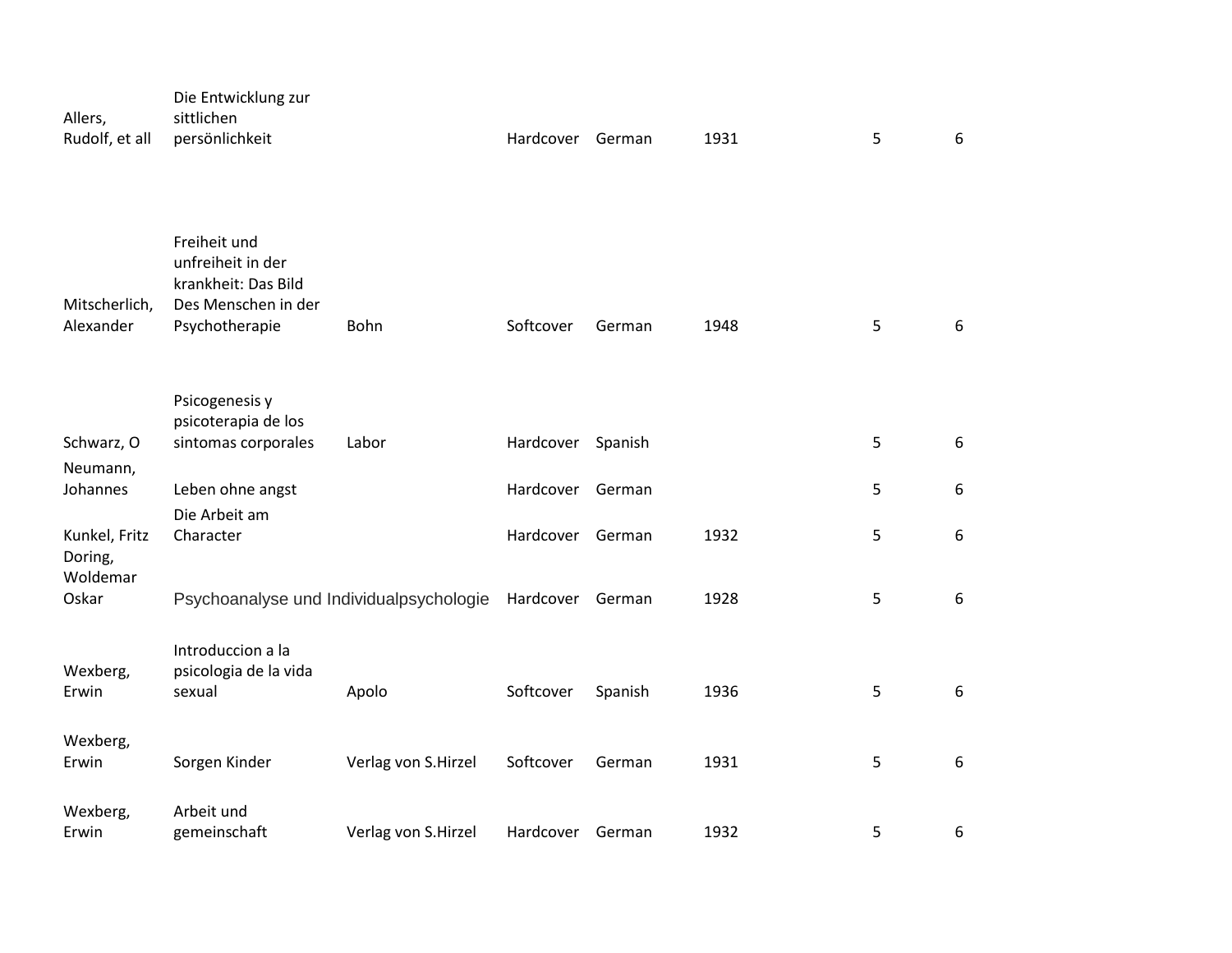| Allers,<br>Rudolf, et all  | Die Entwicklung zur<br>sittlichen<br>persönlichkeit                                               |                     | Hardcover German |         | 1931 | 5 | 6                |
|----------------------------|---------------------------------------------------------------------------------------------------|---------------------|------------------|---------|------|---|------------------|
| Mitscherlich,<br>Alexander | Freiheit und<br>unfreiheit in der<br>krankheit: Das Bild<br>Des Menschen in der<br>Psychotherapie | Bohn                | Softcover        | German  | 1948 | 5 | 6                |
|                            | Psicogenesis y<br>psicoterapia de los                                                             |                     |                  |         |      |   |                  |
| Schwarz, O                 | sintomas corporales                                                                               | Labor               | Hardcover        | Spanish |      | 5 | 6                |
| Neumann,<br>Johannes       | Leben ohne angst                                                                                  |                     | Hardcover        | German  |      | 5 | 6                |
| Kunkel, Fritz<br>Doring,   | Die Arbeit am<br>Character                                                                        |                     | Hardcover        | German  | 1932 | 5 | 6                |
| Woldemar<br>Oskar          | Psychoanalyse und Individualpsychologie                                                           |                     | Hardcover German |         | 1928 | 5 | $\boldsymbol{6}$ |
| Wexberg,<br>Erwin          | Introduccion a la<br>psicologia de la vida<br>sexual                                              | Apolo               | Softcover        | Spanish | 1936 | 5 | $6\phantom{1}$   |
|                            |                                                                                                   |                     |                  |         |      |   |                  |
| Wexberg,<br>Erwin          | Sorgen Kinder                                                                                     | Verlag von S.Hirzel | Softcover        | German  | 1931 | 5 | 6                |
| Wexberg,<br>Erwin          | Arbeit und<br>gemeinschaft                                                                        | Verlag von S.Hirzel | Hardcover German |         | 1932 | 5 | 6                |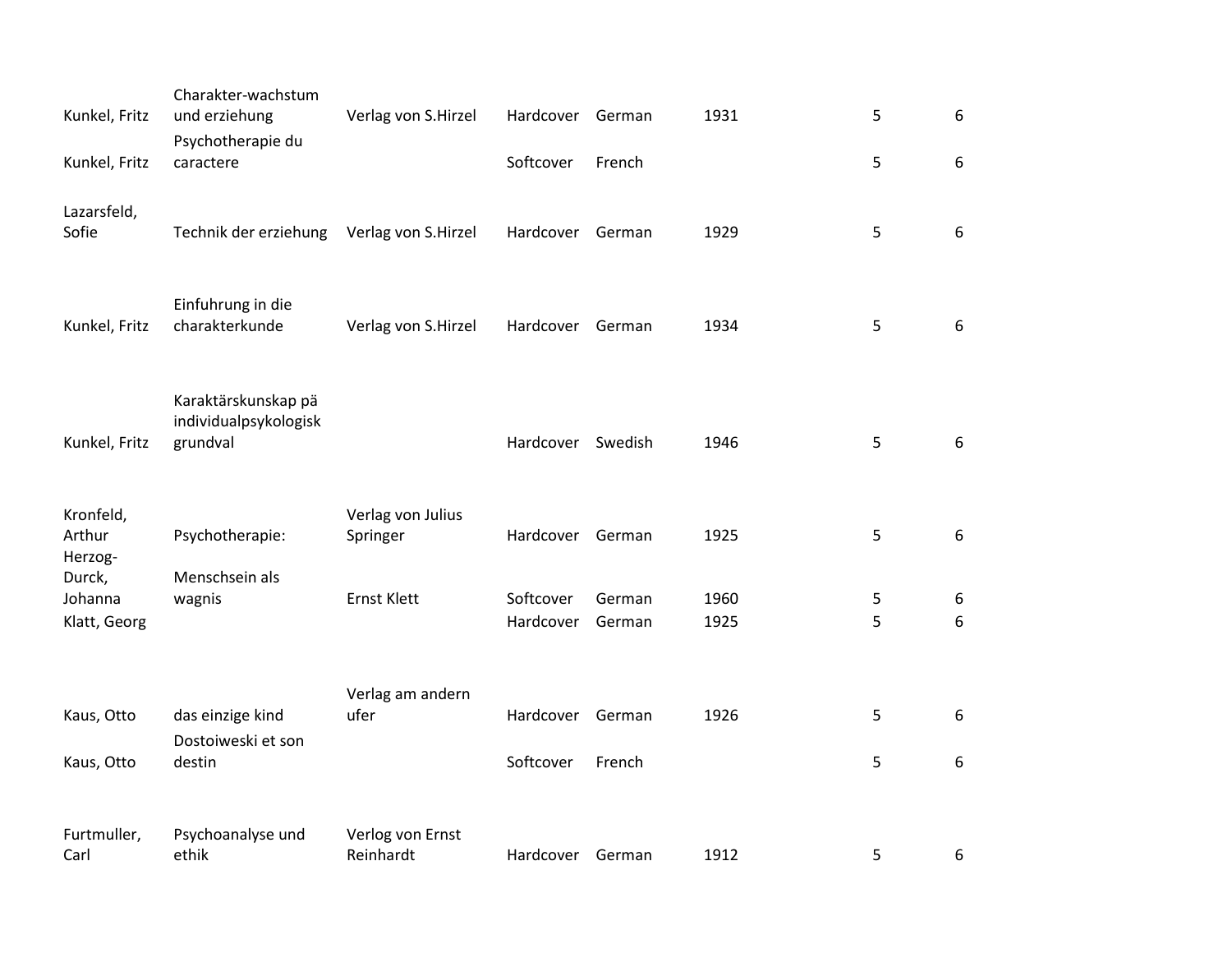| Kunkel, Fritz<br>Kunkel, Fritz    | Charakter-wachstum<br>und erziehung<br>Psychotherapie du<br>caractere | Verlag von S.Hirzel           | Hardcover<br>Softcover | German<br>French | 1931         | 5<br>5 | 6<br>6 |
|-----------------------------------|-----------------------------------------------------------------------|-------------------------------|------------------------|------------------|--------------|--------|--------|
| Lazarsfeld,<br>Sofie              | Technik der erziehung                                                 | Verlag von S.Hirzel           | Hardcover              | German           | 1929         | 5      | 6      |
| Kunkel, Fritz                     | Einfuhrung in die<br>charakterkunde                                   | Verlag von S.Hirzel           | Hardcover              | German           | 1934         | 5      | 6      |
| Kunkel, Fritz                     | Karaktärskunskap pä<br>individualpsykologisk<br>grundval              |                               | Hardcover              | Swedish          | 1946         | 5      | 6      |
| Kronfeld,<br>Arthur<br>Herzog-    | Psychotherapie:                                                       | Verlag von Julius<br>Springer | Hardcover              | German           | 1925         | 5      | 6      |
| Durck,<br>Johanna<br>Klatt, Georg | Menschsein als<br>wagnis                                              | Ernst Klett                   | Softcover<br>Hardcover | German<br>German | 1960<br>1925 | 5<br>5 | 6<br>6 |
| Kaus, Otto<br>Kaus, Otto          | das einzige kind<br>Dostoiweski et son<br>destin                      | Verlag am andern<br>ufer      | Hardcover<br>Softcover | German<br>French | 1926         | 5<br>5 | 6<br>6 |
| Furtmuller,<br>Carl               | Psychoanalyse und<br>ethik                                            | Verlog von Ernst<br>Reinhardt | Hardcover              | German           | 1912         | 5      | 6      |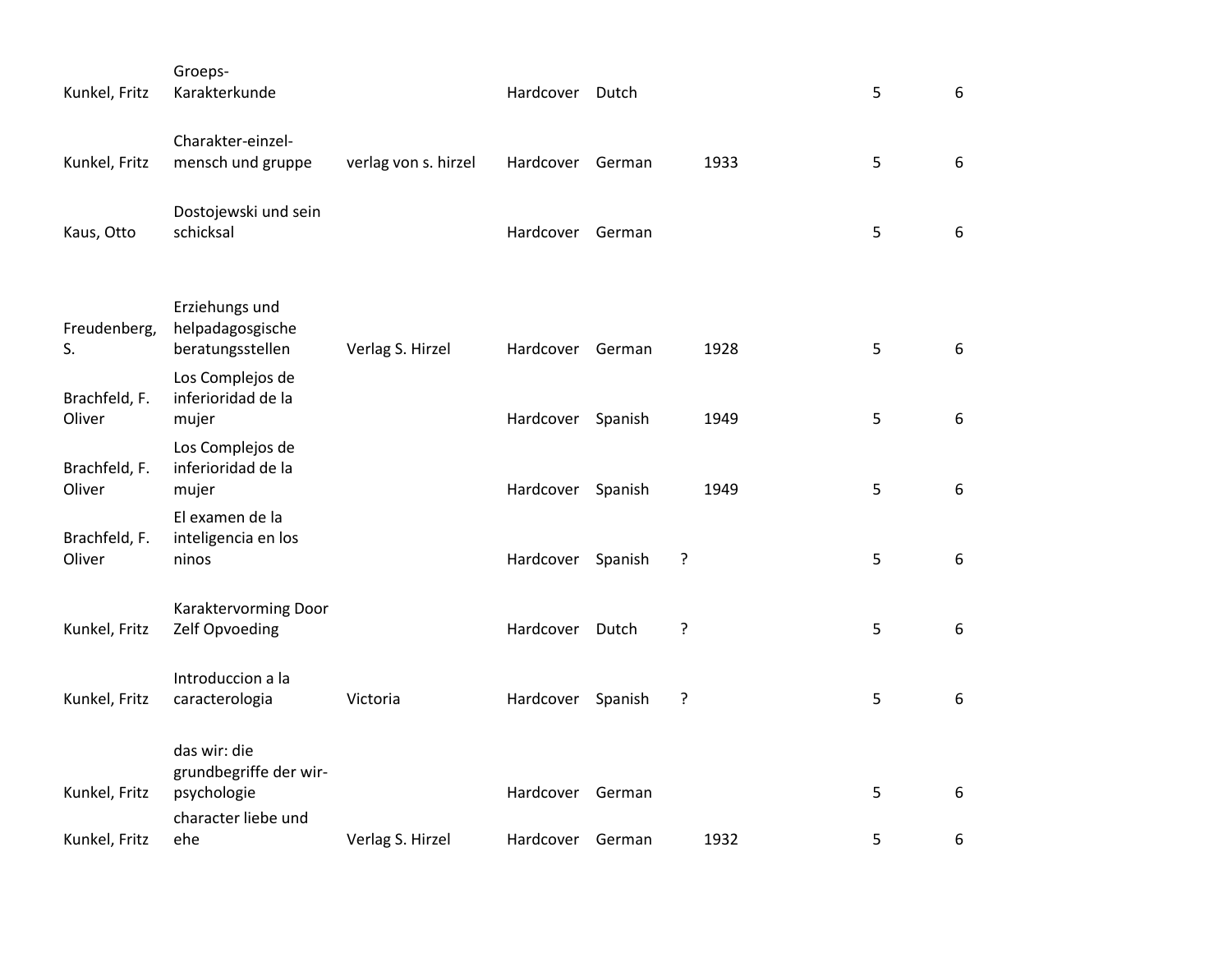| Kunkel, Fritz           | Groeps-<br>Karakterkunde                              |                      | Hardcover Dutch   |        |      | 5 | 6                |
|-------------------------|-------------------------------------------------------|----------------------|-------------------|--------|------|---|------------------|
| Kunkel, Fritz           | Charakter-einzel-<br>mensch und gruppe                | verlag von s. hirzel | Hardcover German  |        | 1933 | 5 | $\boldsymbol{6}$ |
| Kaus, Otto              | Dostojewski und sein<br>schicksal                     |                      | Hardcover German  |        |      | 5 | 6                |
|                         | Erziehungs und                                        |                      |                   |        |      |   |                  |
| Freudenberg,<br>S.      | helpadagosgische<br>beratungsstellen                  | Verlag S. Hirzel     | Hardcover German  |        | 1928 | 5 | 6                |
| Brachfeld, F.<br>Oliver | Los Complejos de<br>inferioridad de la<br>mujer       |                      | Hardcover Spanish |        | 1949 | 5 | $\boldsymbol{6}$ |
| Brachfeld, F.<br>Oliver | Los Complejos de<br>inferioridad de la<br>mujer       |                      | Hardcover Spanish |        | 1949 | 5 | 6                |
| Brachfeld, F.<br>Oliver | El examen de la<br>inteligencia en los<br>ninos       |                      | Hardcover Spanish |        | ?    | 5 | 6                |
| Kunkel, Fritz           | Karaktervorming Door<br>Zelf Opvoeding                |                      | Hardcover         | Dutch  | ?    | 5 | $\boldsymbol{6}$ |
| Kunkel, Fritz           | Introduccion a la<br>caracterologia                   | Victoria             | Hardcover Spanish |        | ?    | 5 | 6                |
| Kunkel, Fritz           | das wir: die<br>grundbegriffe der wir-<br>psychologie |                      | Hardcover         | German |      | 5 | 6                |
| Kunkel, Fritz           | character liebe und<br>ehe                            | Verlag S. Hirzel     | Hardcover German  |        | 1932 | 5 | 6                |